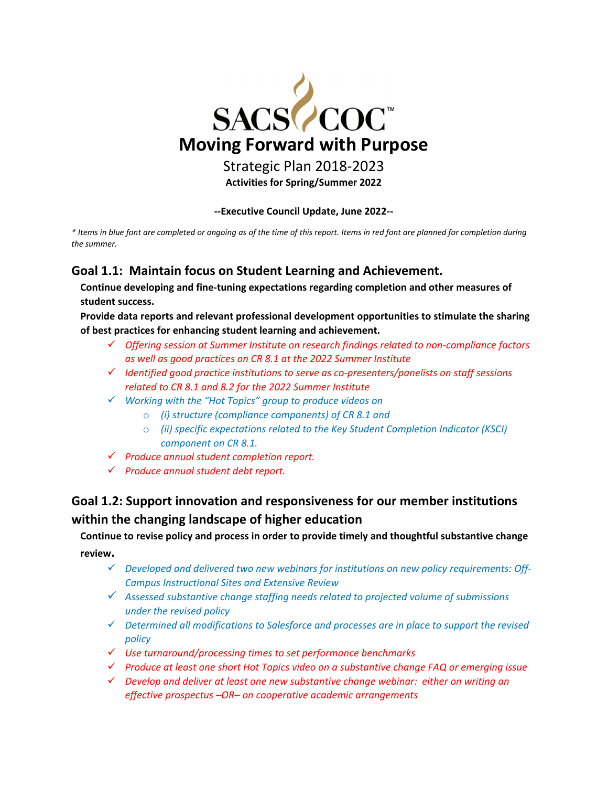

**‐‐Executive Council Update, June 2022‐‐** 

\* Items in blue font are completed or ongoing as of the time of this report. Items in red font are planned for completion during *the summer.* 

### **Goal 1.1: Maintain focus on Student Learning and Achievement.**

**Continue developing and fine‐tuning expectations regarding completion and other measures of student success.**

**Provide data reports and relevant professional development opportunities to stimulate the sharing of best practices for enhancing student learning and achievement.**

- *Offering session at Summer Institute on research findings related to non‐compliance factors as well as good practices on CR 8.1 at the 2022 Summer Institute*
- *Identified good practice institutions to serve as co‐presenters/panelists on staff sessions related to CR 8.1 and 8.2 for the 2022 Summer Institute*
- *Working with the "Hot Topics" group to produce videos on*
	- o *(i) structure (compliance components) of CR 8.1 and*
	- o *(ii) specific expectations related to the Key Student Completion Indicator (KSCI) component on CR 8.1.*
- *Produce annual student completion report.*
- *Produce annual student debt report.*

## **Goal 1.2: Support innovation and responsiveness for our member institutions within the changing landscape of higher education**

**Continue to revise policy and process in order to provide timely and thoughtful substantive change review.**

- *Developed and delivered two new webinars for institutions on new policy requirements: Off‐ Campus Instructional Sites and Extensive Review*
- *Assessed substantive change staffing needs related to projected volume of submissions under the revised policy*
- *Determined all modifications to Salesforce and processes are in place to support the revised policy*
- *Use turnaround/processing times to set performance benchmarks*
- *Produce at least one short Hot Topics video on a substantive change FAQ or emerging issue*
- *Develop and deliver at least one new substantive change webinar: either on writing an effective prospectus –OR– on cooperative academic arrangements*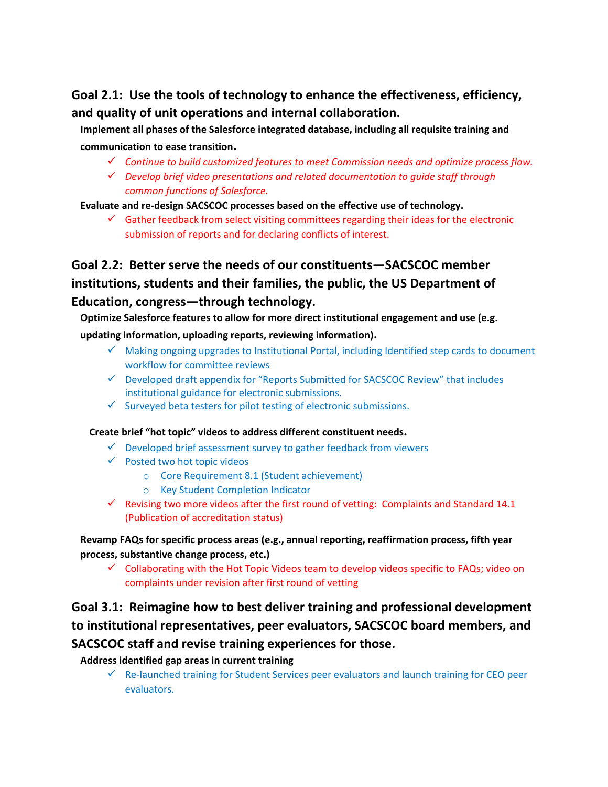## **Goal 2.1: Use the tools of technology to enhance the effectiveness, efficiency, and quality of unit operations and internal collaboration.**

**Implement all phases of the Salesforce integrated database, including all requisite training and**

#### **communication to ease transition.**

- *Continue to build customized features to meet Commission needs and optimize process flow.*
- *Develop brief video presentations and related documentation to guide staff through common functions of Salesforce.*

**Evaluate and re‐design SACSCOC processes based on the effective use of technology.**

 $\checkmark$  Gather feedback from select visiting committees regarding their ideas for the electronic submission of reports and for declaring conflicts of interest.

# **Goal 2.2: Better serve the needs of our constituents—SACSCOC member institutions, students and their families, the public, the US Department of Education, congress—through technology.**

**Optimize Salesforce features to allow for more direct institutional engagement and use (e.g.**

**updating information, uploading reports, reviewing information).**

- $\checkmark$  Making ongoing upgrades to Institutional Portal, including Identified step cards to document workflow for committee reviews
- $\checkmark$  Developed draft appendix for "Reports Submitted for SACSCOC Review" that includes institutional guidance for electronic submissions.
- $\checkmark$  Surveyed beta testers for pilot testing of electronic submissions.

#### **Create brief "hot topic" videos to address different constituent needs.**

- $\checkmark$  Developed brief assessment survey to gather feedback from viewers
- $\checkmark$  Posted two hot topic videos
	- o Core Requirement 8.1 (Student achievement)
	- o Key Student Completion Indicator
- $\checkmark$  Revising two more videos after the first round of vetting: Complaints and Standard 14.1 (Publication of accreditation status)

**Revamp FAQs for specific process areas (e.g., annual reporting, reaffirmation process, fifth year process, substantive change process, etc.)**

 $\checkmark$  Collaborating with the Hot Topic Videos team to develop videos specific to FAQs; video on complaints under revision after first round of vetting

## **Goal 3.1: Reimagine how to best deliver training and professional development to institutional representatives, peer evaluators, SACSCOC board members, and SACSCOC staff and revise training experiences for those.**

### **Address identified gap areas in current training**

 $\checkmark$  Re-launched training for Student Services peer evaluators and launch training for CEO peer evaluators.